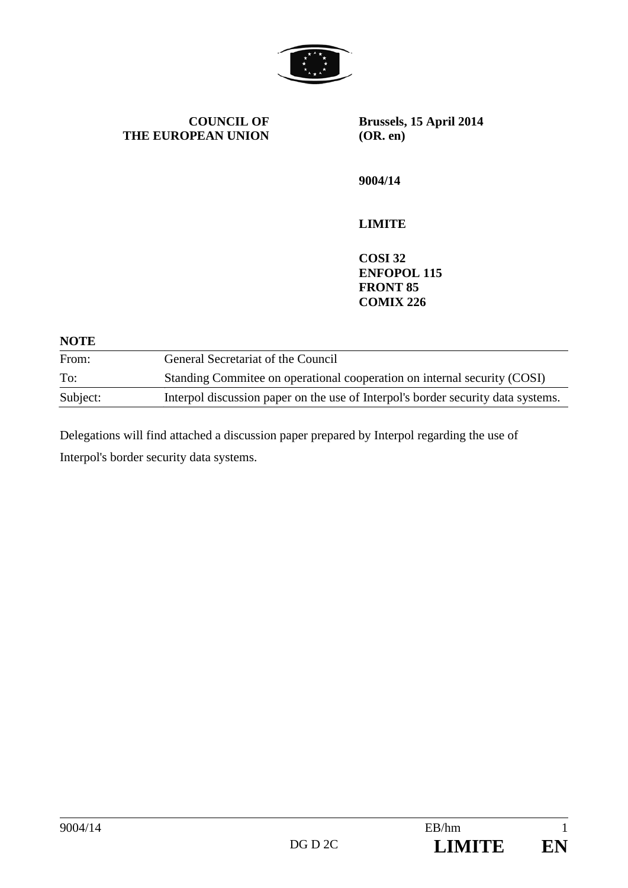

**COUNCIL OF THE EUROPEAN UNION** **Brussels, 15 April 2014 (OR. en)** 

**9004/14** 

# **LIMITE**

**COSI 32 ENFOPOL 115 FRONT 85 COMIX 226** 

| <b>NOTE</b> |                                                                                  |
|-------------|----------------------------------------------------------------------------------|
| From:       | General Secretariat of the Council                                               |
| To:         | Standing Committee on operational cooperation on internal security (COSI)        |
| Subject:    | Interpol discussion paper on the use of Interpol's border security data systems. |

Delegations will find attached a discussion paper prepared by Interpol regarding the use of Interpol's border security data systems.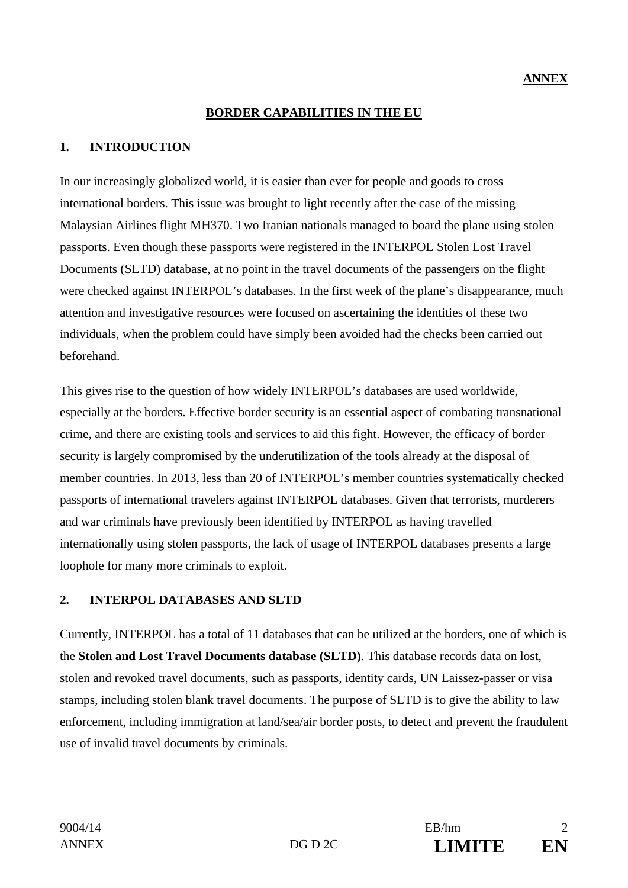#### **BORDER CAPABILITIES IN THE EU**

### **1. INTRODUCTION**

In our increasingly globalized world, it is easier than ever for people and goods to cross international borders. This issue was brought to light recently after the case of the missing Malaysian Airlines flight MH370. Two Iranian nationals managed to board the plane using stolen passports. Even though these passports were registered in the INTERPOL Stolen Lost Travel Documents (SLTD) database, at no point in the travel documents of the passengers on the flight were checked against INTERPOL's databases. In the first week of the plane's disappearance, much attention and investigative resources were focused on ascertaining the identities of these two individuals, when the problem could have simply been avoided had the checks been carried out beforehand.

This gives rise to the question of how widely INTERPOL's databases are used worldwide, especially at the borders. Effective border security is an essential aspect of combating transnational crime, and there are existing tools and services to aid this fight. However, the efficacy of border security is largely compromised by the underutilization of the tools already at the disposal of member countries. In 2013, less than 20 of INTERPOL's member countries systematically checked passports of international travelers against INTERPOL databases. Given that terrorists, murderers and war criminals have previously been identified by INTERPOL as having travelled internationally using stolen passports, the lack of usage of INTERPOL databases presents a large loophole for many more criminals to exploit.

#### **2. INTERPOL DATABASES AND SLTD**

Currently, INTERPOL has a total of 11 databases that can be utilized at the borders, one of which is the **Stolen and Lost Travel Documents database (SLTD)**. This database records data on lost, stolen and revoked travel documents, such as passports, identity cards, UN Laissez-passer or visa stamps, including stolen blank travel documents. The purpose of SLTD is to give the ability to law enforcement, including immigration at land/sea/air border posts, to detect and prevent the fraudulent use of invalid travel documents by criminals.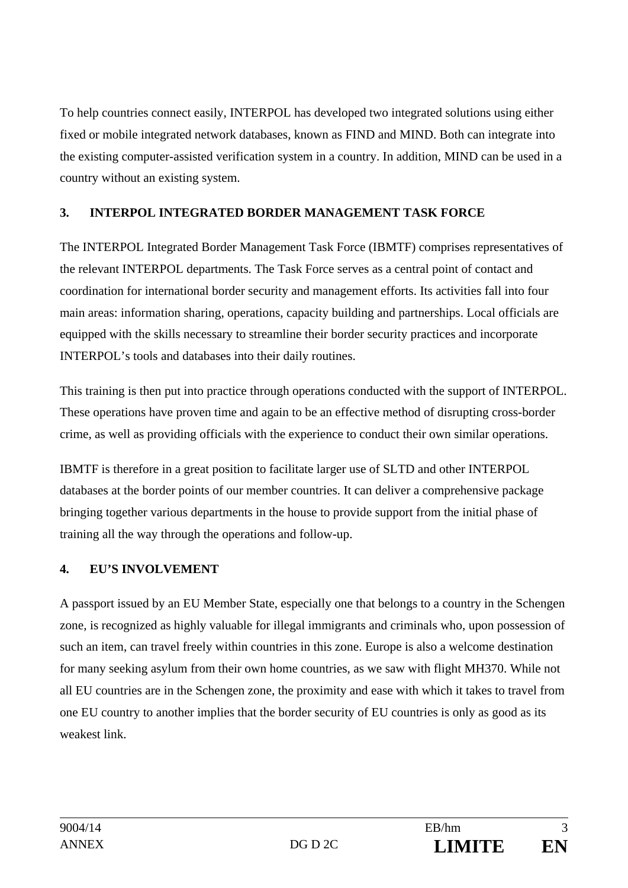To help countries connect easily, INTERPOL has developed two integrated solutions using either fixed or mobile integrated network databases, known as FIND and MIND. Both can integrate into the existing computer-assisted verification system in a country. In addition, MIND can be used in a country without an existing system.

## **3. INTERPOL INTEGRATED BORDER MANAGEMENT TASK FORCE**

The INTERPOL Integrated Border Management Task Force (IBMTF) comprises representatives of the relevant INTERPOL departments. The Task Force serves as a central point of contact and coordination for international border security and management efforts. Its activities fall into four main areas: information sharing, operations, capacity building and partnerships. Local officials are equipped with the skills necessary to streamline their border security practices and incorporate INTERPOL's tools and databases into their daily routines.

This training is then put into practice through operations conducted with the support of INTERPOL. These operations have proven time and again to be an effective method of disrupting cross-border crime, as well as providing officials with the experience to conduct their own similar operations.

IBMTF is therefore in a great position to facilitate larger use of SLTD and other INTERPOL databases at the border points of our member countries. It can deliver a comprehensive package bringing together various departments in the house to provide support from the initial phase of training all the way through the operations and follow-up.

## **4. EU'S INVOLVEMENT**

A passport issued by an EU Member State, especially one that belongs to a country in the Schengen zone, is recognized as highly valuable for illegal immigrants and criminals who, upon possession of such an item, can travel freely within countries in this zone. Europe is also a welcome destination for many seeking asylum from their own home countries, as we saw with flight MH370. While not all EU countries are in the Schengen zone, the proximity and ease with which it takes to travel from one EU country to another implies that the border security of EU countries is only as good as its weakest link.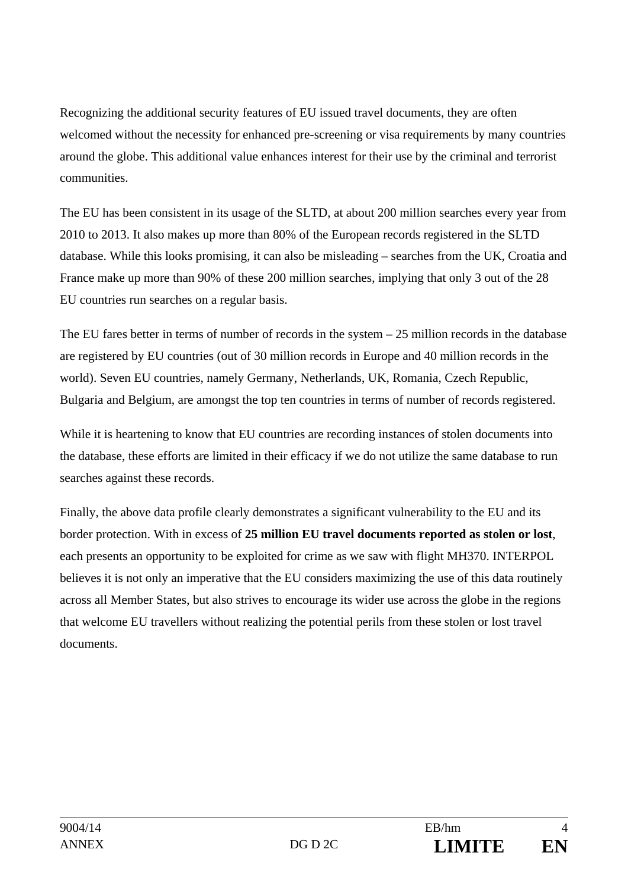Recognizing the additional security features of EU issued travel documents, they are often welcomed without the necessity for enhanced pre-screening or visa requirements by many countries around the globe. This additional value enhances interest for their use by the criminal and terrorist communities.

The EU has been consistent in its usage of the SLTD, at about 200 million searches every year from 2010 to 2013. It also makes up more than 80% of the European records registered in the SLTD database. While this looks promising, it can also be misleading – searches from the UK, Croatia and France make up more than 90% of these 200 million searches, implying that only 3 out of the 28 EU countries run searches on a regular basis.

The EU fares better in terms of number of records in the system  $-25$  million records in the database are registered by EU countries (out of 30 million records in Europe and 40 million records in the world). Seven EU countries, namely Germany, Netherlands, UK, Romania, Czech Republic, Bulgaria and Belgium, are amongst the top ten countries in terms of number of records registered.

While it is heartening to know that EU countries are recording instances of stolen documents into the database, these efforts are limited in their efficacy if we do not utilize the same database to run searches against these records.

Finally, the above data profile clearly demonstrates a significant vulnerability to the EU and its border protection. With in excess of **25 million EU travel documents reported as stolen or lost**, each presents an opportunity to be exploited for crime as we saw with flight MH370. INTERPOL believes it is not only an imperative that the EU considers maximizing the use of this data routinely across all Member States, but also strives to encourage its wider use across the globe in the regions that welcome EU travellers without realizing the potential perils from these stolen or lost travel documents.